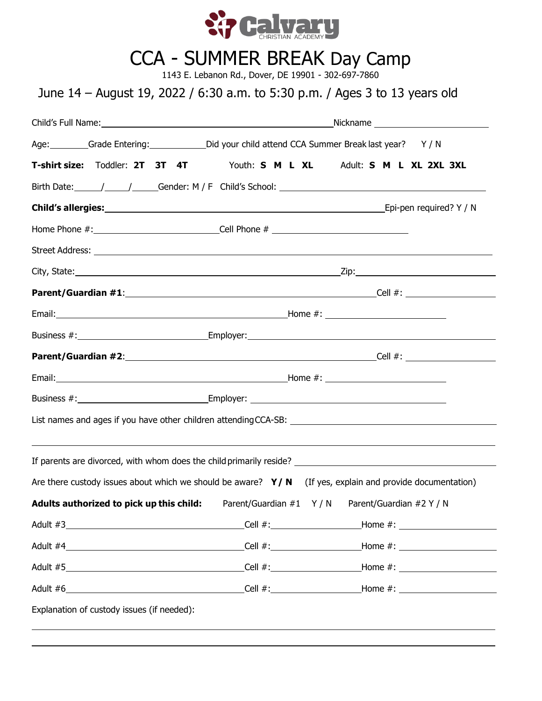

# CCA - SUMMER BREAK Day Camp

1143 E. Lebanon Rd., Dover, DE 19901 - 302-697-7860

## June 14 – August 19, 2022 / 6:30 a.m. to 5:30 p.m. / Ages 3 to 13 years old

|                                          | Age: Grade Entering: Did your child attend CCA Summer Break last year? Y / N                                   |  |
|------------------------------------------|----------------------------------------------------------------------------------------------------------------|--|
|                                          | T-shirt size: Toddler: 2T 3T 4T Youth: S M L XL Adult: S M L XL 2XL 3XL                                        |  |
|                                          |                                                                                                                |  |
|                                          |                                                                                                                |  |
|                                          |                                                                                                                |  |
|                                          |                                                                                                                |  |
|                                          |                                                                                                                |  |
|                                          |                                                                                                                |  |
|                                          |                                                                                                                |  |
|                                          | Business #: Employer: Employer:                                                                                |  |
|                                          |                                                                                                                |  |
|                                          |                                                                                                                |  |
|                                          |                                                                                                                |  |
|                                          | List names and ages if you have other children attending CCA-SB: Names and agency of the state of the state of |  |
|                                          |                                                                                                                |  |
|                                          | Are there custody issues about which we should be aware? $Y/N$ (If yes, explain and provide documentation)     |  |
| Adults authorized to pick up this child: | Parent/Guardian #1 Y / N Parent/Guardian #2 Y / N                                                              |  |
|                                          | $Cell$ #:                                                                                                      |  |
|                                          |                                                                                                                |  |
|                                          | Cell $#$ :                                                                                                     |  |
|                                          | $Cell$ #:                                                                                                      |  |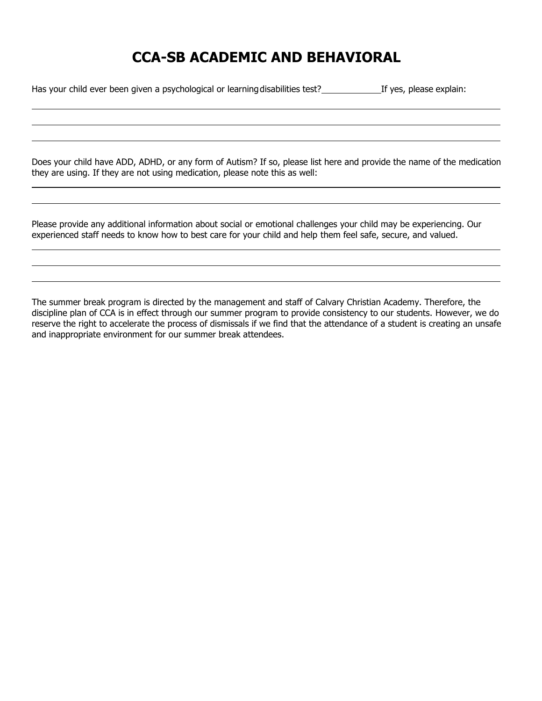## **CCA-SB ACADEMIC AND BEHAVIORAL**

Has your child ever been given a psychological or learning disabilities test? If yes, please explain:

Does your child have ADD, ADHD, or any form of Autism? If so, please list here and provide the name of the medication they are using. If they are not using medication, please note this as well:

Please provide any additional information about social or emotional challenges your child may be experiencing. Our experienced staff needs to know how to best care for your child and help them feel safe, secure, and valued.

The summer break program is directed by the management and staff of Calvary Christian Academy. Therefore, the discipline plan of CCA is in effect through our summer program to provide consistency to our students. However, we do reserve the right to accelerate the process of dismissals if we find that the attendance of a student is creating an unsafe and inappropriate environment for our summer break attendees.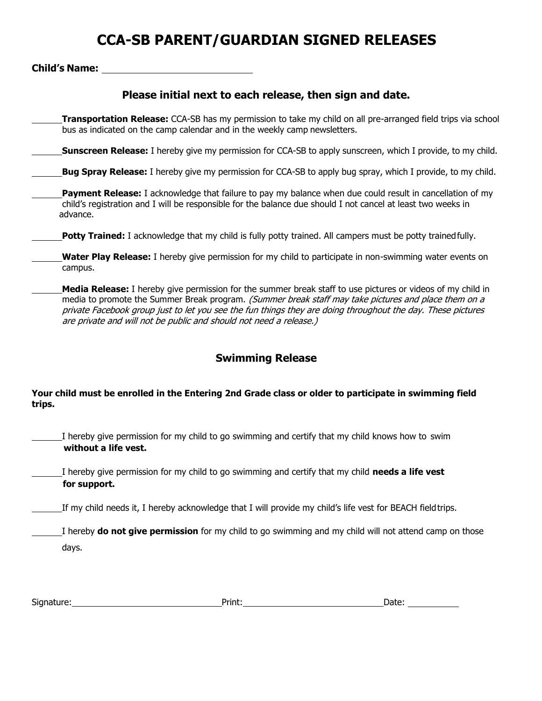## **CCA-SB PARENT/GUARDIAN SIGNED RELEASES**

### **Child's Name:**

### **Please initial next to each release, then sign and date.**

**Transportation Release:** CCA-SB has my permission to take my child on all pre-arranged field trips via school bus as indicated on the camp calendar and in the weekly camp newsletters.

**Sunscreen Release:** I hereby give my permission for CCA-SB to apply sunscreen, which I provide, to my child.

**Bug Spray Release:** I hereby give my permission for CCA-SB to apply bug spray, which I provide, to my child.

- **Payment Release:** I acknowledge that failure to pay my balance when due could result in cancellation of my child's registration and I will be responsible for the balance due should I not cancel at least two weeks in advance.
- **Potty Trained:** I acknowledge that my child is fully potty trained. All campers must be potty trained fully.
- **Water Play Release:** I hereby give permission for my child to participate in non-swimming water events on campus.
- **Media Release:** I hereby give permission for the summer break staff to use pictures or videos of my child in media to promote the Summer Break program. (Summer break staff may take pictures and place them on a private Facebook group just to let you see the fun things they are doing throughout the day. These pictures are private and will not be public and should not need a release.)

### **Swimming Release**

### **Your child must be enrolled in the Entering 2nd Grade class or older to participate in swimming field trips.**

I hereby give permission for my child to go swimming and certify that my child knows how to swim **without a life vest.**

I hereby give permission for my child to go swimming and certify that my child **needs a life vest for support.**

If my child needs it, I hereby acknowledge that I will provide my child's life vest for BEACH fieldtrips.

I hereby **do not give permission** for my child to go swimming and my child will not attend camp on those days.

| $\sim$<br>Signature: | Print. | .<br>udle. |
|----------------------|--------|------------|
|                      |        |            |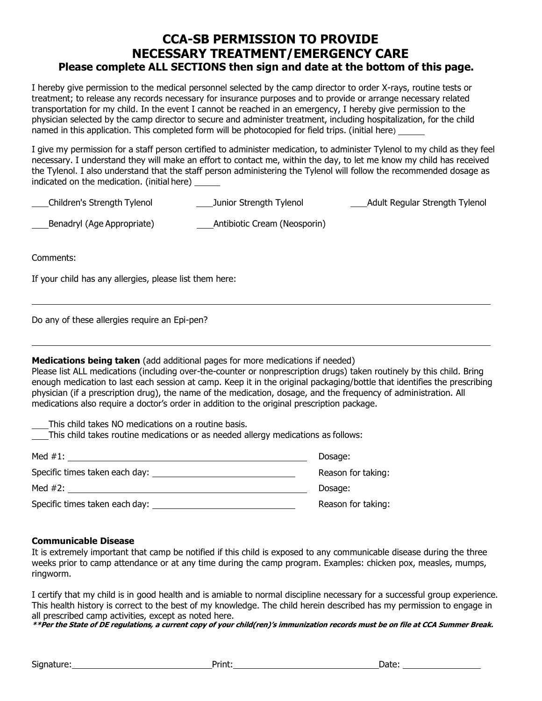### **CCA-SB PERMISSION TO PROVIDE NECESSARY TREATMENT/EMERGENCY CARE Please complete ALL SECTIONS then sign and date at the bottom of this page.**

I hereby give permission to the medical personnel selected by the camp director to order X-rays, routine tests or treatment; to release any records necessary for insurance purposes and to provide or arrange necessary related transportation for my child. In the event I cannot be reached in an emergency, I hereby give permission to the physician selected by the camp director to secure and administer treatment, including hospitalization, for the child named in this application. This completed form will be photocopied for field trips. (initial here)

I give my permission for a staff person certified to administer medication, to administer Tylenol to my child as they feel necessary. I understand they will make an effort to contact me, within the day, to let me know my child has received the Tylenol. I also understand that the staff person administering the Tylenol will follow the recommended dosage as indicated on the medication. (initial here)

| Children's Strength Tylenol | Junior Strength Tylenol      | <b>Adult Regular Strength Tylenol</b> |
|-----------------------------|------------------------------|---------------------------------------|
| Benadryl (Age Appropriate)  | Antibiotic Cream (Neosporin) |                                       |

Comments:

If your child has any allergies, please list them here:

Do any of these allergies require an Epi-pen?

**Medications being taken** (add additional pages for more medications if needed)

Please list ALL medications (including over-the-counter or nonprescription drugs) taken routinely by this child. Bring enough medication to last each session at camp. Keep it in the original packaging/bottle that identifies the prescribing physician (if a prescription drug), the name of the medication, dosage, and the frequency of administration. All medications also require a doctor's order in addition to the original prescription package.

This child takes NO medications on a routine basis.

This child takes routine medications or as needed allergy medications as follows:

| Med $#1$ :                     | Dosage:            |
|--------------------------------|--------------------|
| Specific times taken each day: | Reason for taking: |
| Med #2:                        | Dosage:            |
| Specific times taken each day: | Reason for taking: |

#### **Communicable Disease**

It is extremely important that camp be notified if this child is exposed to any communicable disease during the three weeks prior to camp attendance or at any time during the camp program. Examples: chicken pox, measles, mumps, ringworm.

I certify that my child is in good health and is amiable to normal discipline necessary for a successful group experience. This health history is correct to the best of my knowledge. The child herein described has my permission to engage in all prescribed camp activities, except as noted here.

**\*\*Per the State of DE regulations, a current copy of your child(ren)'s immunization records must be on file at CCA Summer Break.**

Signature: Print: Date: